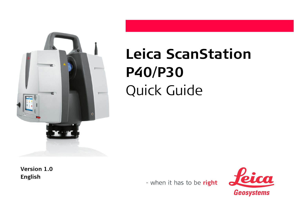

# **Leica ScanStation P40/P30** Quick Guide

**Version 1.0 English**

- when it has to be right

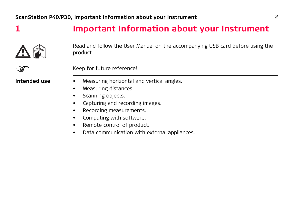### **1 Important Information about your Instrument**



Read and follow the User Manual on the accompanying USB card before using the product.

Keep for future reference!<br> **Intended use** • Measuring horizontal a

- **Measuring horizontal and vertical angles.**
- Measuring distances.
- Scanning objects.
- Capturing and recording images.
- Recording measurements.
- Computing with software.
- Remote control of product.
- Data communication with external appliances.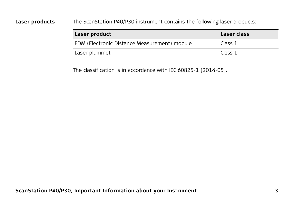**Laser products** The ScanStation P40/P30 instrument contains the following laser products:

| Laser product                                | Laser class |
|----------------------------------------------|-------------|
| EDM (Electronic Distance Measurement) module | Class 1     |
| Laser plummet                                | Class 1     |

The classification is in accordance with IEC 60825-1 (2014-05).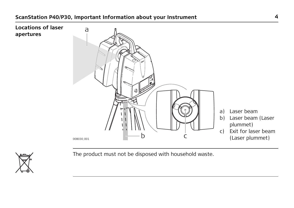



The product must not be disposed with household waste.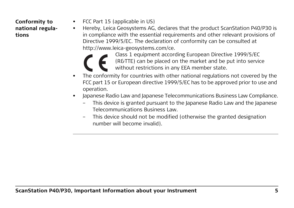### **Conformity to national regulations**

- FCC Part 15 (applicable in US)
- Hereby, Leica Geosystems AG, declares that the product ScanStation P40/P30 is in compliance with the essential requirements and other relevant provisions of Directive 1999/5/EC. The declaration of conformity can be consulted at http://www.leica-geosystems.com/ce.



Class 1 equipment according European Directive 1999/5/EC (R&TTE) can be placed on the market and be put into service without restrictions in any EEA member state.

- The conformity for countries with other national regulations not covered by the FCC part 15 or European directive 1999/5/EC has to be approved prior to use and operation.
- Japanese Radio Law and Japanese Telecommunications Business Law Compliance.
	- This device is granted pursuant to the Japanese Radio Law and the Japanese Telecommunications Business Law.
	- This device should not be modified (otherwise the granted designation number will become invalid).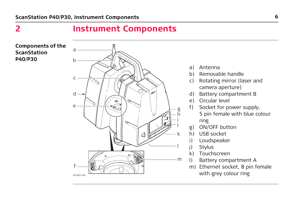### **2 Instrument Components**

#### **Components of the ScanStation P40/P30**



- a) Antenna
- b) Removable handle
- c) Rotating mirror (laser and camera aperture)
- d) Battery compartment B
- e) Circular level
- f) Socket for power supply, 5 pin female with blue colour ring
- g) ON/OFF button
- h) USB socket
- i) Loudspeaker
- j) Stylus
- k) Touchscreen
- l) Battery compartment A
- m) Ethernet socket, 8 pin female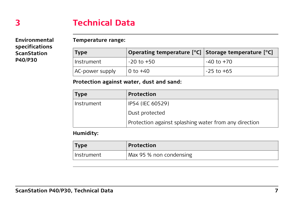## **3 Technical Data**

**Environmental specifications ScanStation P40/P30**

#### **Temperature range:**

| <b>Type</b>     | Operating temperature [°C] Storage temperature [°C] |                |
|-----------------|-----------------------------------------------------|----------------|
| Instrument      | $-20$ to $+50$                                      | -40 to +70     |
| AC-power supply | $\vert$ 0 to $+40$                                  | $-25$ to $+65$ |

#### **Protection against water, dust and sand:**

| <b>Type</b> | Protection                                            |
|-------------|-------------------------------------------------------|
| Instrument  | IP54 (IEC 60529)                                      |
|             | Dust protected                                        |
|             | Protection against splashing water from any direction |

### **Humidity:**

| <b>Type</b> | <b>Protection</b>       |
|-------------|-------------------------|
| Instrument  | Max 95 % non condensing |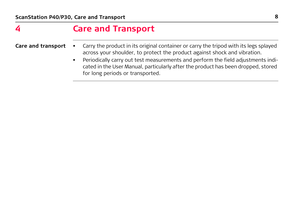### **4 Care and Transport**

- **Care and transport** Carry the product in its original container or carry the tripod with its legs splayed across your shoulder, to protect the product against shock and vibration.
	- Periodically carry out test measurements and perform the field adjustments indicated in the User Manual, particularly after the product has been dropped, stored for long periods or transported.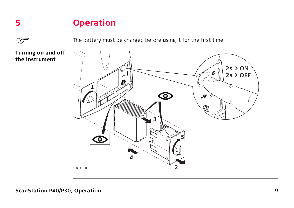### **5 Operation**

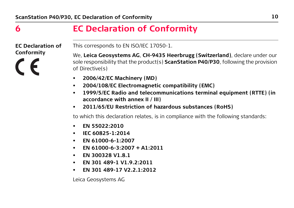### **6 EC Declaration of Conformity**

**EC Declaration of Conformity**

We, **Leica Geosystems AG**, **CH-9435 Heerbrugg (Switzerland)**, declare under our sole responsibility that the product(s) **ScanStation P40/P30**, following the provision of Directive(s)

• **2006/42/EC Machinery (MD)**

This corresponds to EN ISO/IEC 17050-1.

- **2004/108/EC Electromagnetic compatibility (EMC)**
- **1999/5/EC Radio and telecommunications terminal equipment (RTTE) (in accordance with annex II / III)**
- **2011/65/EU Restriction of hazardous substances (RoHS)**

to which this declaration relates, is in compliance with the following standards:

- **EN 55022:2010**
- **IEC 60825-1:2014**
- **EN 61000-6-1:2007**
- **EN 61000-6-3:2007 + A1:2011**
- **EN 300328 V1.8.1**
- **EN 301 489-1 V1.9.2:2011**
- **EN 301 489-17 V2.2.1:2012**

Leica Geosystems AG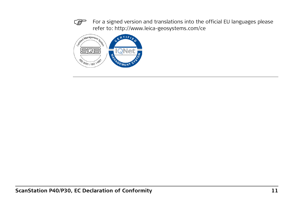For a signed version and translations into the official EU languages please refer to: http://www.leica-geosystems.com/ce